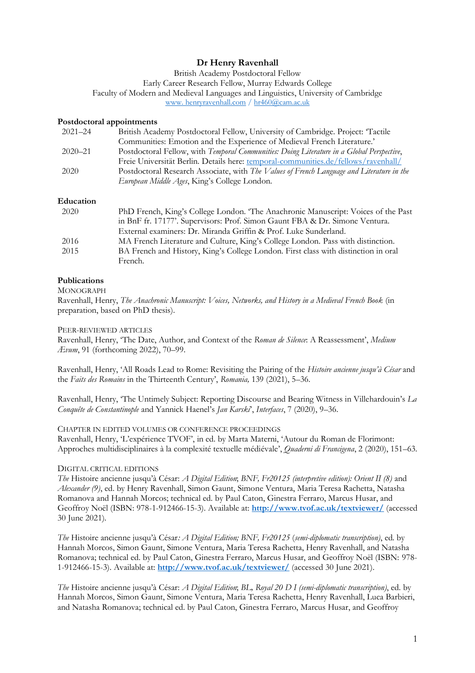# **Dr Henry Ravenhall**

British Academy Postdoctoral Fellow Early Career Research Fellow, Murray Edwards College Faculty of Modern and Medieval Languages and Linguistics, University of Cambridge [www. henryravenhall.com](https://www.henryravenhall.com/) / [hr460@cam.ac.uk](mailto:mailto:hr460@cam.ac.uk)

## **Postdoctoral appointments**

| $2021 - 24$ | British Academy Postdoctoral Fellow, University of Cambridge. Project: 'Tactile           |
|-------------|-------------------------------------------------------------------------------------------|
|             | Communities: Emotion and the Experience of Medieval French Literature.'                   |
| $2020 - 21$ | Postdoctoral Fellow, with Temporal Communities: Doing Literature in a Global Perspective, |
|             | Freie Universität Berlin. Details here: temporal-communities.de/fellows/ravenhall/        |
| 2020        | Postdoctoral Research Associate, with The Values of French Language and Literature in the |
|             | European Middle Ages, King's College London.                                              |

## **Education**

| 2020 | PhD French, King's College London. The Anachronic Manuscript: Voices of the Past   |
|------|------------------------------------------------------------------------------------|
|      | in BnF fr. 17177'. Supervisors: Prof. Simon Gaunt FBA & Dr. Simone Ventura.        |
|      | External examiners: Dr. Miranda Griffin & Prof. Luke Sunderland.                   |
| 2016 | MA French Literature and Culture, King's College London. Pass with distinction.    |
| 2015 | BA French and History, King's College London. First class with distinction in oral |
|      | French.                                                                            |

# **Publications**

#### **MONOGRAPH**

Ravenhall, Henry, *The Anachronic Manuscript: Voices, Networks, and History in a Medieval French Book* (in preparation, based on PhD thesis).

#### PEER-REVIEWED ARTICLES

Ravenhall, Henry, 'The Date, Author, and Context of the *Roman de Silence*: A Reassessment', *Medium Ævum*, 91 (forthcoming 2022), 70–99.

Ravenhall, Henry, 'All Roads Lead to Rome: Revisiting the Pairing of the *Histoire ancienne jusqu'à César* and the *Faits des Romains* in the Thirteenth Century', *Romania,* 139 (2021), 5–36.

Ravenhall, Henry, 'The Untimely Subject: Reporting Discourse and Bearing Witness in Villehardouin's *La Conquête de Constantinople* and Yannick Haenel's *Jan Karski*', *Interfaces*, 7 (2020), 9–36.

#### CHAPTER IN EDITED VOLUMES OR CONFERENCE PROCEEDINGS

Ravenhall, Henry, 'L'expérience TVOF', in ed. by Marta Materni, 'Autour du Roman de Florimont: Approches multidisciplinaires à la complexité textuelle médiévale', *Quaderni di Francigena*, 2 (2020), 151–63*.*

## DIGITAL CRITICAL EDITIONS

*The* Histoire ancienne jusqu'à César: *A Digital Edition*; *BNF, Fr20125 (interpretive edition): Orient II (8)* and *Alexander (9)*, ed. by Henry Ravenhall, Simon Gaunt, Simone Ventura, Maria Teresa Rachetta, Natasha Romanova and Hannah Morcos; technical ed. by Paul Caton, Ginestra Ferraro, Marcus Husar, and Geoffroy Noël (ISBN: 978-1-912466-15-3). Available at: **<http://www.tvof.ac.uk/textviewer/>** (accessed 30 June 2021).

*The* Histoire ancienne jusqu'à César*: A Digital Edition; BNF, Fr20125* (*semi-diplomatic transcription)*, ed. by Hannah Morcos, Simon Gaunt, Simone Ventura, Maria Teresa Rachetta, Henry Ravenhall, and Natasha Romanova; technical ed. by Paul Caton, Ginestra Ferraro, Marcus Husar, and Geoffroy Noël (ISBN: 978- 1-912466-15-3). Available at: **<http://www.tvof.ac.uk/textviewer/>** (accessed 30 June 2021).

*The* Histoire ancienne jusqu'à César: *A Digital Edition*; *BL, Royal 20 D I (semi-diplomatic transcription)*, ed. by Hannah Morcos, Simon Gaunt, Simone Ventura, Maria Teresa Rachetta, Henry Ravenhall, Luca Barbieri, and Natasha Romanova; technical ed. by Paul Caton, Ginestra Ferraro, Marcus Husar, and Geoffroy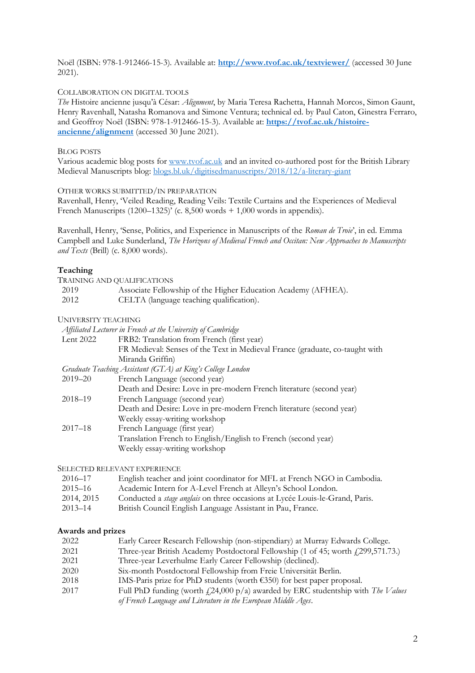Noël (ISBN: 978-1-912466-15-3). Available at: **<http://www.tvof.ac.uk/textviewer/>** (accessed 30 June 2021).

#### COLLABORATION ON DIGITAL TOOLS

*The* Histoire ancienne jusqu'à César: *Alignment*, by Maria Teresa Rachetta, Hannah Morcos, Simon Gaunt, Henry Ravenhall, Natasha Romanova and Simone Ventura; technical ed. by Paul Caton, Ginestra Ferraro, and Geoffroy Noël (ISBN: 978-1-912466-15-3). Available at: **[https://tvof.ac.uk/histoire](https://tvof.ac.uk/histoire-ancienne/alignment)[ancienne/alignment](https://tvof.ac.uk/histoire-ancienne/alignment)** (accessed 30 June 2021).

#### BLOG POSTS

Various academic blog posts for [www.tvof.ac.uk](http://www.tvof.ac.uk/) and an invited co-authored post for the British Library Medieval Manuscripts blog: [blogs.bl.uk/digitisedmanuscripts/2018/12/a-literary-giant](https://blogs.bl.uk/digitisedmanuscripts/2018/12/a-literary-giant.html)

#### OTHER WORKS SUBMITTED/IN PREPARATION

Ravenhall, Henry, 'Veiled Reading, Reading Veils: Textile Curtains and the Experiences of Medieval French Manuscripts  $(1200-1325)^{5}$  (c. 8,500 words + 1,000 words in appendix).

Ravenhall, Henry, 'Sense, Politics, and Experience in Manuscripts of the *Roman de Troie*', in ed. Emma Campbell and Luke Sunderland, *The Horizons of Medieval French and Occitan: New Approaches to Manuscripts and Texts* (Brill) (c.  $8,000$  words).

#### **Teaching**

|      | TRAINING AND QUALIFICATIONS                                   |
|------|---------------------------------------------------------------|
| 2019 | Associate Fellowship of the Higher Education Academy (AFHEA). |
| 2012 | CELTA (language teaching qualification).                      |

### UNIVERSITY TEACHING

|                                                            | Affiliated Lecturer in French at the University of Cambridge                 |
|------------------------------------------------------------|------------------------------------------------------------------------------|
| Lent 2022                                                  | FRB2: Translation from French (first year)                                   |
|                                                            | FR Medieval: Senses of the Text in Medieval France (graduate, co-taught with |
|                                                            | Miranda Griffin)                                                             |
| Graduate Teaching Assistant (GTA) at King's College London |                                                                              |
| $2019 - 20$                                                | French Language (second year)                                                |
|                                                            | Death and Desire: Love in pre-modern French literature (second year)         |
| $2018 - 19$                                                | French Language (second year)                                                |
|                                                            | Death and Desire: Love in pre-modern French literature (second year)         |
|                                                            | Weekly essay-writing workshop                                                |
| $2017 - 18$                                                | French Language (first year)                                                 |
|                                                            | Translation French to English/English to French (second year)                |
|                                                            | Weekly essay-writing workshop                                                |
|                                                            |                                                                              |

#### SELECTED RELEVANT EXPERIENCE

| 2016–17     | English teacher and joint coordinator for MFL at French NGO in Cambodia.            |
|-------------|-------------------------------------------------------------------------------------|
| $2015 - 16$ | Academic Intern for A-Level French at Alleyn's School London.                       |
| 2014, 2015  | Conducted a <i>stage anglais</i> on three occasions at Lycée Louis-le-Grand, Paris. |
| $2013 - 14$ | British Council English Language Assistant in Pau France                            |

#### 2013–14 British Council English Language Assistant in Pau, France.

#### **Awards and prizes**

| 2022 | Early Career Research Fellowship (non-stipendiary) at Murray Edwards College.             |
|------|-------------------------------------------------------------------------------------------|
| 2021 | Three-year British Academy Postdoctoral Fellowship (1 of 45; worth (299,571.73.)          |
| 2021 | Three-year Leverhulme Early Career Fellowship (declined).                                 |
| 2020 | Six-month Postdoctoral Fellowship from Freie Universität Berlin.                          |
| 2018 | IMS-Paris prize for PhD students (worth $\epsilon$ 350) for best paper proposal.          |
| 2017 | Full PhD funding (worth $(24,000 \text{ p/a})$ awarded by ERC studentship with The Values |
|      | of French Language and Literature in the European Middle Ages.                            |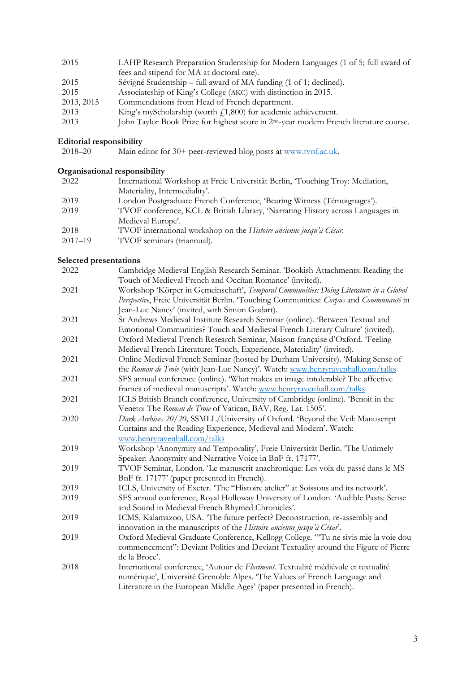| 2015       | LAHP Research Preparation Studentship for Modern Languages (1 of 5; full award of                  |
|------------|----------------------------------------------------------------------------------------------------|
|            | fees and stipend for MA at doctoral rate).                                                         |
| 2015       | Sévigné Studentship – full award of MA funding (1 of 1; declined).                                 |
| 2015       | Associateship of King's College (AKC) with distinction in 2015.                                    |
| 2013, 2015 | Commendations from Head of French department.                                                      |
| 2013       | King's myScholarship (worth $f(1,800)$ ) for academic achievement.                                 |
| 2013       | John Taylor Book Prize for highest score in 2 <sup>nd</sup> -year modern French literature course. |

#### **Editorial responsibility**

2018–20 Main editor for 30+ peer-reviewed blog posts at [www.tvof.ac.uk.](http://www.tvof.ac.uk/)

# **Organisational responsibility**

| 2022        | International Workshop at Freie Universität Berlin, Touching Troy: Mediation,  |
|-------------|--------------------------------------------------------------------------------|
|             | Materiality, Intermediality'.                                                  |
| 2019        | London Postgraduate French Conference, 'Bearing Witness (Témoignages').        |
| 2019        | TVOF conference, KCL & British Library, 'Narrating History across Languages in |
|             | Medieval Europe'.                                                              |
| 2018        | TVOF international workshop on the Histoire ancienne jusqu'à César.            |
| $2017 - 19$ | TVOF seminars (triannual).                                                     |

# **Selected presentations**

| Cambridge Medieval English Research Seminar. 'Bookish Attachments: Reading the         |
|----------------------------------------------------------------------------------------|
| Touch of Medieval French and Occitan Romance' (invited).                               |
| Workshop 'Körper in Gemeinschaft', Temporal Communities: Doing Literature in a Global  |
| Perspective, Freie Universität Berlin. 'Touching Communities: Corpus and Communauté in |
| Jean-Luc Nancy' (invited, with Simon Godart).                                          |
| St Andrews Medieval Institute Research Seminar (online). 'Between Textual and          |
| Emotional Communities? Touch and Medieval French Literary Culture' (invited).          |
| Oxford Medieval French Research Seminar, Maison française d'Oxford. 'Feeling           |
| Medieval French Literature: Touch, Experience, Materiality' (invited).                 |
| Online Medieval French Seminar (hosted by Durham University). 'Making Sense of         |
| the Roman de Troie (with Jean-Luc Nancy)'. Watch: www.henryravenhall.com/talks         |
| SFS annual conference (online). 'What makes an image intolerable? The affective        |
| frames of medieval manuscripts'. Watch: www.henryravenhall.com/talks                   |
| ICLS British Branch conference, University of Cambridge (online). 'Benoît in the       |
| Veneto: The Roman de Troie of Vatican, BAV, Reg. Lat. 1505'.                           |
| Dark Archives 20/20, SSMLL/University of Oxford. 'Beyond the Veil: Manuscript          |
| Curtains and the Reading Experience, Medieval and Modern'. Watch:                      |
| www.henryravenhall.com/talks                                                           |
| Workshop 'Anonymity and Temporality', Freie Universität Berlin. 'The Untimely          |
| Speaker: Anonymity and Narrative Voice in BnF fr. 17177'.                              |
| TVOF Seminar, London. Le manuscrit anachronique: Les voix du passé dans le MS          |
| BnF fr. 17177' (paper presented in French).                                            |
| ICLS, University of Exeter. 'The "Histoire atelier" at Soissons and its network'.      |
| SFS annual conference, Royal Holloway University of London. 'Audible Pasts: Sense      |
| and Sound in Medieval French Rhymed Chronicles'.                                       |
| ICMS, Kalamazoo, USA. 'The future perfect? Deconstruction, re-assembly and             |
| innovation in the manuscripts of the Histoire ancienne jusqu'à César'.                 |
| Oxford Medieval Graduate Conference, Kellogg College. "Tu ne sivis mie la voie dou     |
| commencement": Deviant Politics and Deviant Textuality around the Figure of Pierre     |
| de la Broce'.                                                                          |
| International conference, 'Autour de Florimont. Textualité médiévale et textualité     |
| numérique', Université Grenoble Alpes. 'The Values of French Language and              |
| Literature in the European Middle Ages' (paper presented in French).                   |
|                                                                                        |